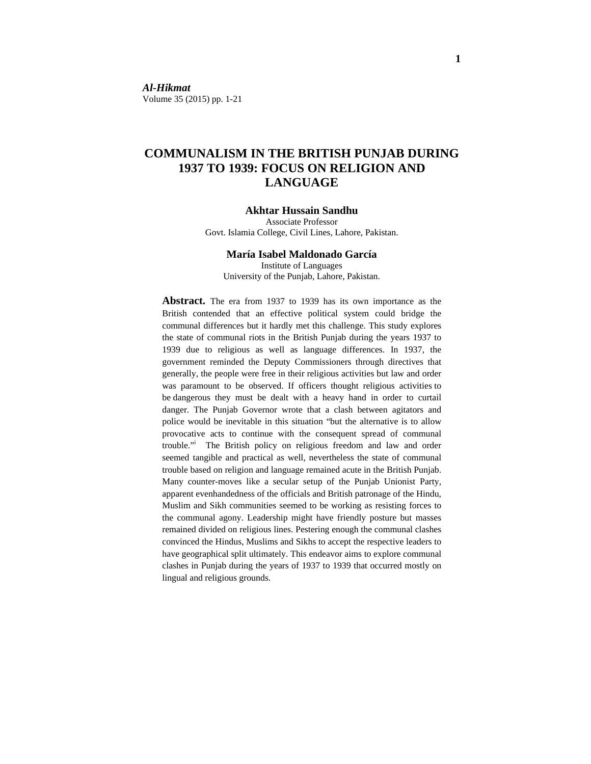*Al-Hikmat*  Volume 35 (2015) pp. 1-21

# **COMMUNALISM IN THE BRITISH PUNJAB DURING 1937 TO 1939: FOCUS ON RELIGION AND LANGUAGE**

#### **Akhtar Hussain Sandhu**

Associate Professor Govt. Islamia College, Civil Lines, Lahore, Pakistan.

#### **María Isabel Maldonado García**

Institute of Languages University of the Punjab, Lahore, Pakistan.

**Abstract.** The era from 1937 to 1939 has its own importance as the British contended that an effective political system could bridge the communal differences but it hardly met this challenge. This study explores the state of communal riots in the British Punjab during the years 1937 to 1939 due to religious as well as language differences. In 1937, the government reminded the Deputy Commissioners through directives that generally, the people were free in their religious activities but law and order was paramount to be observed. If officers thought religious activities to be dangerous they must be dealt with a heavy hand in order to curtail danger. The Punjab Governor wrote that a clash between agitators and police would be inevitable in this situation "but the alternative is to allow provocative acts to continue with the consequent spread of communal trouble." The British policy on religious freedom and law and order seemed tangible and practical as well, nevertheless the state of communal trouble based on religion and language remained acute in the British Punjab. Many counter-moves like a secular setup of the Punjab Unionist Party, apparent evenhandedness of the officials and British patronage of the Hindu, Muslim and Sikh communities seemed to be working as resisting forces to the communal agony. Leadership might have friendly posture but masses remained divided on religious lines. Pestering enough the communal clashes convinced the Hindus, Muslims and Sikhs to accept the respective leaders to have geographical split ultimately. This endeavor aims to explore communal clashes in Punjab during the years of 1937 to 1939 that occurred mostly on lingual and religious grounds.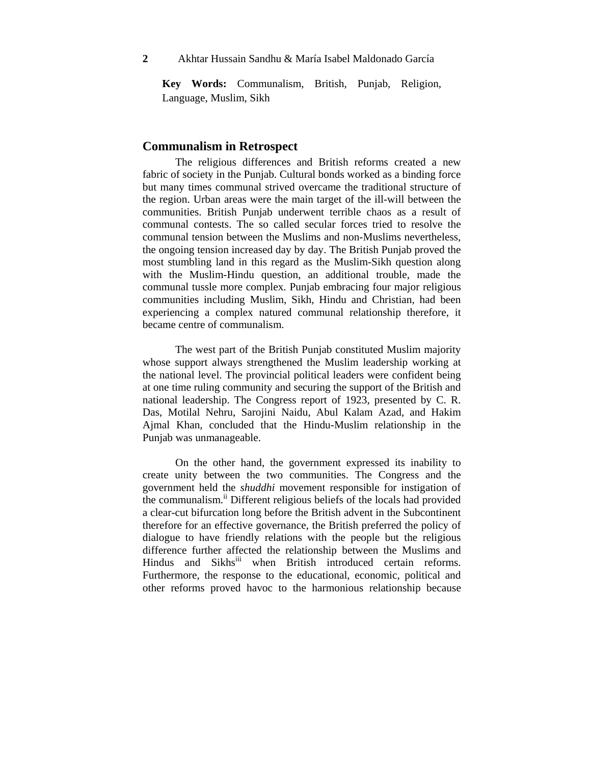**Key Words:** Communalism, British, Punjab, Religion, Language, Muslim, Sikh

#### **Communalism in Retrospect**

 The religious differences and British reforms created a new fabric of society in the Punjab. Cultural bonds worked as a binding force but many times communal strived overcame the traditional structure of the region. Urban areas were the main target of the ill-will between the communities. British Punjab underwent terrible chaos as a result of communal contests. The so called secular forces tried to resolve the communal tension between the Muslims and non-Muslims nevertheless, the ongoing tension increased day by day. The British Punjab proved the most stumbling land in this regard as the Muslim-Sikh question along with the Muslim-Hindu question, an additional trouble, made the communal tussle more complex. Punjab embracing four major religious communities including Muslim, Sikh, Hindu and Christian, had been experiencing a complex natured communal relationship therefore, it became centre of communalism.

 The west part of the British Punjab constituted Muslim majority whose support always strengthened the Muslim leadership working at the national level. The provincial political leaders were confident being at one time ruling community and securing the support of the British and national leadership. The Congress report of 1923, presented by C. R. Das, Motilal Nehru, Sarojini Naidu, Abul Kalam Azad, and Hakim Ajmal Khan, concluded that the Hindu-Muslim relationship in the Punjab was unmanageable.

 On the other hand, the government expressed its inability to create unity between the two communities. The Congress and the government held the *shuddhi* movement responsible for instigation of the communalism.<sup>ii</sup> Different religious beliefs of the locals had provided a clear-cut bifurcation long before the British advent in the Subcontinent therefore for an effective governance, the British preferred the policy of dialogue to have friendly relations with the people but the religious difference further affected the relationship between the Muslims and Hindus and Sikhs<sup>iii</sup> when British introduced certain reforms. Furthermore, the response to the educational, economic, political and other reforms proved havoc to the harmonious relationship because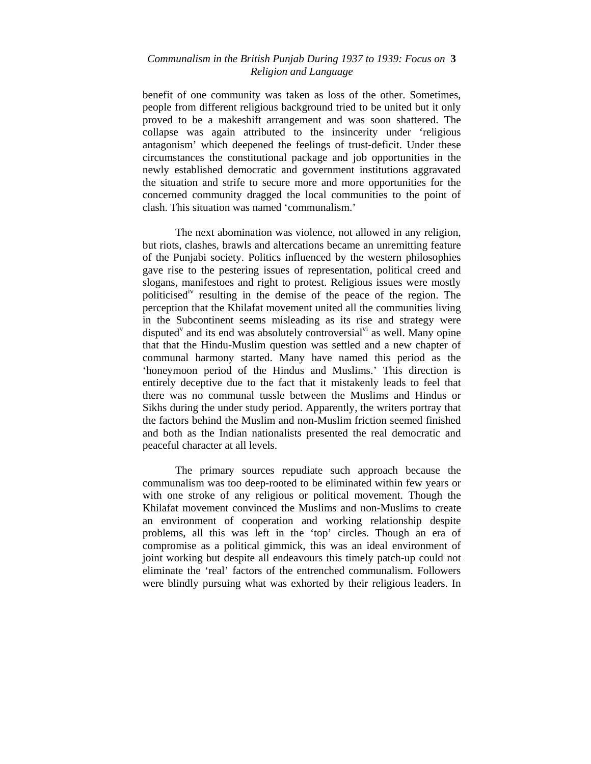# *Communalism in the British Punjab During 1937 to 1939: Focus on* **3**  *Religion and Language*

benefit of one community was taken as loss of the other. Sometimes, people from different religious background tried to be united but it only proved to be a makeshift arrangement and was soon shattered. The collapse was again attributed to the insincerity under 'religious antagonism' which deepened the feelings of trust-deficit. Under these circumstances the constitutional package and job opportunities in the newly established democratic and government institutions aggravated the situation and strife to secure more and more opportunities for the concerned community dragged the local communities to the point of clash. This situation was named 'communalism.'

 The next abomination was violence, not allowed in any religion, but riots, clashes, brawls and altercations became an unremitting feature of the Punjabi society. Politics influenced by the western philosophies gave rise to the pestering issues of representation, political creed and slogans, manifestoes and right to protest. Religious issues were mostly politicised<sup>iv</sup> resulting in the demise of the peace of the region. The perception that the Khilafat movement united all the communities living in the Subcontinent seems misleading as its rise and strategy were disputed<sup> $v$ </sup> and its end was absolutely controversial<sup> $vi$ </sup> as well. Many opine that that the Hindu-Muslim question was settled and a new chapter of communal harmony started. Many have named this period as the 'honeymoon period of the Hindus and Muslims.' This direction is entirely deceptive due to the fact that it mistakenly leads to feel that there was no communal tussle between the Muslims and Hindus or Sikhs during the under study period. Apparently, the writers portray that the factors behind the Muslim and non-Muslim friction seemed finished and both as the Indian nationalists presented the real democratic and peaceful character at all levels.

The primary sources repudiate such approach because the communalism was too deep-rooted to be eliminated within few years or with one stroke of any religious or political movement. Though the Khilafat movement convinced the Muslims and non-Muslims to create an environment of cooperation and working relationship despite problems, all this was left in the 'top' circles. Though an era of compromise as a political gimmick, this was an ideal environment of joint working but despite all endeavours this timely patch-up could not eliminate the 'real' factors of the entrenched communalism. Followers were blindly pursuing what was exhorted by their religious leaders. In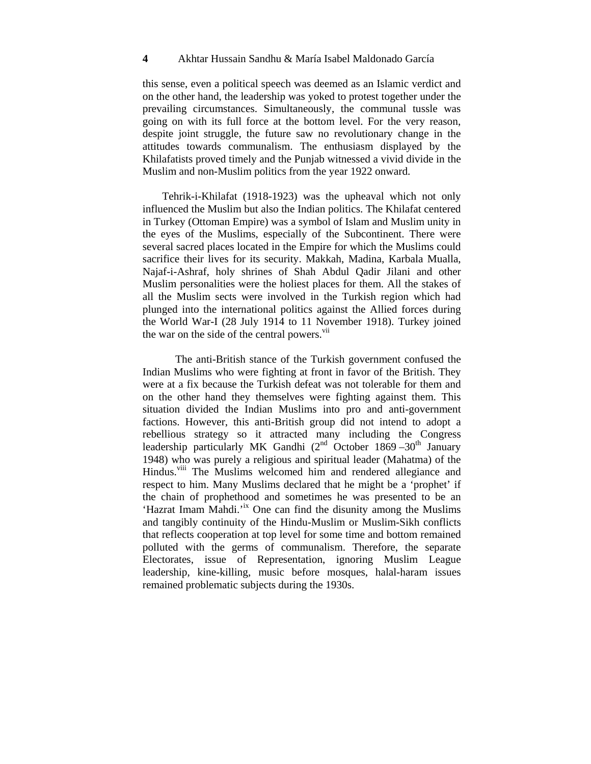this sense, even a political speech was deemed as an Islamic verdict and on the other hand, the leadership was yoked to protest together under the prevailing circumstances. Simultaneously, the communal tussle was going on with its full force at the bottom level. For the very reason, despite joint struggle, the future saw no revolutionary change in the attitudes towards communalism. The enthusiasm displayed by the Khilafatists proved timely and the Punjab witnessed a vivid divide in the Muslim and non-Muslim politics from the year 1922 onward.

 Tehrik-i-Khilafat (1918-1923) was the upheaval which not only influenced the Muslim but also the Indian politics. The Khilafat centered in Turkey (Ottoman Empire) was a symbol of Islam and Muslim unity in the eyes of the Muslims, especially of the Subcontinent. There were several sacred places located in the Empire for which the Muslims could sacrifice their lives for its security. Makkah, Madina, Karbala Mualla, Najaf-i-Ashraf, holy shrines of Shah Abdul Qadir Jilani and other Muslim personalities were the holiest places for them. All the stakes of all the Muslim sects were involved in the Turkish region which had plunged into the international politics against the Allied forces during the World War-I (28 July 1914 to 11 November 1918). Turkey joined the war on the side of the central powers.<sup>vii</sup>

The anti-British stance of the Turkish government confused the Indian Muslims who were fighting at front in favor of the British. They were at a fix because the Turkish defeat was not tolerable for them and on the other hand they themselves were fighting against them. This situation divided the Indian Muslims into pro and anti-government factions. However, this anti-British group did not intend to adopt a rebellious strategy so it attracted many including the Congress leadership particularly MK Gandhi ( $2<sup>nd</sup>$  October 1869 –30<sup>th</sup> January 1948) who was purely a religious and spiritual leader (Mahatma) of the Hindus.<sup>viii</sup> The Muslims welcomed him and rendered allegiance and respect to him. Many Muslims declared that he might be a 'prophet' if the chain of prophethood and sometimes he was presented to be an 'Hazrat Imam Mahdi.'ix One can find the disunity among the Muslims and tangibly continuity of the Hindu-Muslim or Muslim-Sikh conflicts that reflects cooperation at top level for some time and bottom remained polluted with the germs of communalism. Therefore, the separate Electorates, issue of Representation, ignoring Muslim League leadership, kine-killing, music before mosques, halal-haram issues remained problematic subjects during the 1930s.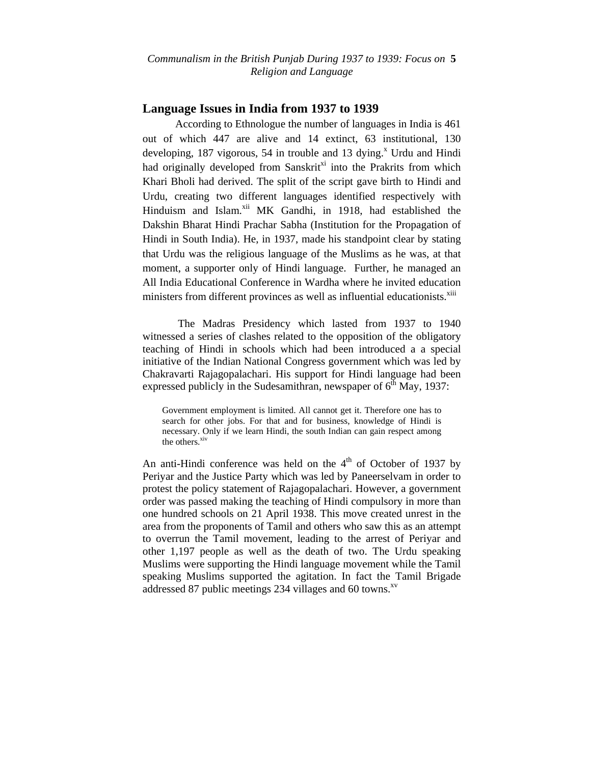*Communalism in the British Punjab During 1937 to 1939: Focus on* **5**  *Religion and Language*

# **Language Issues in India from 1937 to 1939**

According to Ethnologue the number of languages in India is 461 out of which 447 are alive and 14 extinct, 63 institutional, 130 developing, 187 vigorous, 54 in trouble and 13 dying. $^x$  Urdu and Hindi had originally developed from Sanskrit<sup>xi</sup> into the Prakrits from which Khari Bholi had derived. The split of the script gave birth to Hindi and Urdu, creating two different languages identified respectively with Hinduism and Islam.<sup>xii</sup> MK Gandhi, in 1918, had established the Dakshin Bharat Hindi Prachar Sabha (Institution for the Propagation of Hindi in South India). He, in 1937, made his standpoint clear by stating that Urdu was the religious language of the Muslims as he was, at that moment, a supporter only of Hindi language. Further, he managed an All India Educational Conference in Wardha where he invited education ministers from different provinces as well as influential educationists.<sup>xiii</sup>

 The Madras Presidency which lasted from 1937 to 1940 witnessed a series of clashes related to the opposition of the obligatory teaching of Hindi in schools which had been introduced a a special initiative of the Indian National Congress government which was led by Chakravarti Rajagopalachari. His support for Hindi language had been expressed publicly in the Sudesamithran, newspaper of  $6<sup>th</sup>$  May, 1937:

Government employment is limited. All cannot get it. Therefore one has to search for other jobs. For that and for business, knowledge of Hindi is necessary. Only if we learn Hindi, the south Indian can gain respect among the others.<sup>xiv</sup>

An anti-Hindi conference was held on the  $4<sup>th</sup>$  of October of 1937 by Periyar and the Justice Party which was led by Paneerselvam in order to protest the policy statement of Rajagopalachari. However, a government order was passed making the teaching of Hindi compulsory in more than one hundred schools on 21 April 1938. This move created unrest in the area from the proponents of Tamil and others who saw this as an attempt to overrun the Tamil movement, leading to the arrest of Periyar and other 1,197 people as well as the death of two. The Urdu speaking Muslims were supporting the Hindi language movement while the Tamil speaking Muslims supported the agitation. In fact the Tamil Brigade addressed 87 public meetings 234 villages and 60 towns.<sup>xv</sup>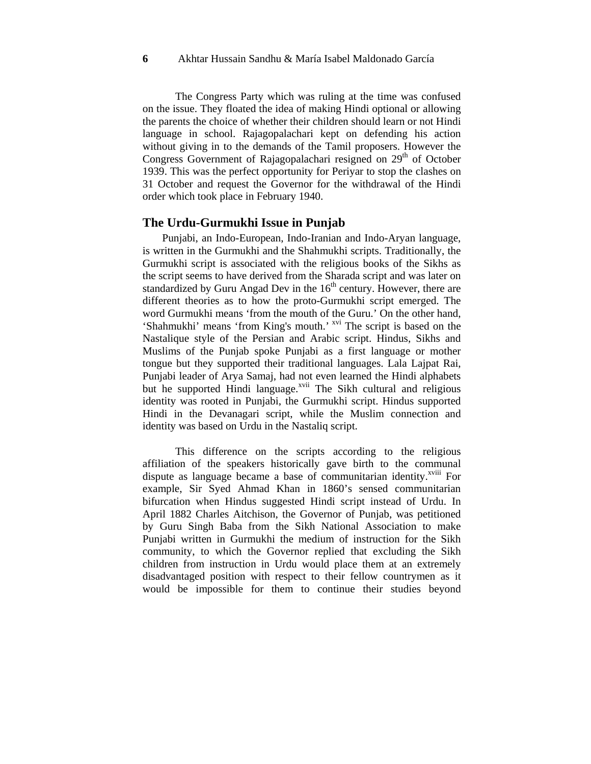The Congress Party which was ruling at the time was confused on the issue. They floated the idea of making Hindi optional or allowing the parents the choice of whether their children should learn or not Hindi language in school. Rajagopalachari kept on defending his action without giving in to the demands of the Tamil proposers. However the Congress Government of Rajagopalachari resigned on 29<sup>th</sup> of October 1939. This was the perfect opportunity for Periyar to stop the clashes on 31 October and request the Governor for the withdrawal of the Hindi order which took place in February 1940.

# **The Urdu-Gurmukhi Issue in Punjab**

Punjabi, an Indo-European, Indo-Iranian and Indo-Aryan language, is written in the Gurmukhi and the Shahmukhi scripts. Traditionally, the Gurmukhi script is associated with the religious books of the Sikhs as the script seems to have derived from the Sharada script and was later on standardized by Guru Angad Dev in the  $16<sup>th</sup>$  century. However, there are different theories as to how the proto-Gurmukhi script emerged. The word Gurmukhi means 'from the mouth of the Guru.' On the other hand, 'Shahmukhi' means 'from King's mouth.' <sup>xvi</sup> The script is based on the Nastalique style of the Persian and Arabic script. Hindus, Sikhs and Muslims of the Punjab spoke Punjabi as a first language or mother tongue but they supported their traditional languages. Lala Lajpat Rai, Punjabi leader of Arya Samaj, had not even learned the Hindi alphabets but he supported Hindi language.<sup>xvii</sup> The Sikh cultural and religious identity was rooted in Punjabi, the Gurmukhi script. Hindus supported Hindi in the Devanagari script, while the Muslim connection and identity was based on Urdu in the Nastaliq script.

This difference on the scripts according to the religious affiliation of the speakers historically gave birth to the communal dispute as language became a base of communitarian identity.<sup>xviii</sup> For example, Sir Syed Ahmad Khan in 1860's sensed communitarian bifurcation when Hindus suggested Hindi script instead of Urdu. In April 1882 Charles Aitchison, the Governor of Punjab, was petitioned by Guru Singh Baba from the Sikh National Association to make Punjabi written in Gurmukhi the medium of instruction for the Sikh community, to which the Governor replied that excluding the Sikh children from instruction in Urdu would place them at an extremely disadvantaged position with respect to their fellow countrymen as it would be impossible for them to continue their studies beyond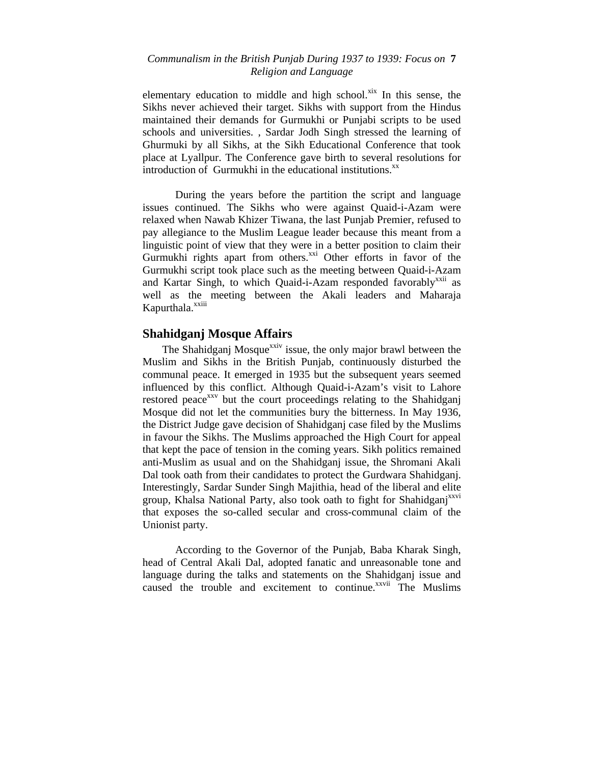# *Communalism in the British Punjab During 1937 to 1939: Focus on* **7**  *Religion and Language*

elementary education to middle and high school. $x$ <sup>ix</sup> In this sense, the Sikhs never achieved their target. Sikhs with support from the Hindus maintained their demands for Gurmukhi or Punjabi scripts to be used schools and universities. , Sardar Jodh Singh stressed the learning of Ghurmuki by all Sikhs, at the Sikh Educational Conference that took place at Lyallpur. The Conference gave birth to several resolutions for introduction of Gurmukhi in the educational institutions.<sup>xx</sup>

During the years before the partition the script and language issues continued. The Sikhs who were against Quaid-i-Azam were relaxed when Nawab Khizer Tiwana, the last Punjab Premier, refused to pay allegiance to the Muslim League leader because this meant from a linguistic point of view that they were in a better position to claim their Gurmukhi rights apart from others. $x^{\text{xxi}}$  Other efforts in favor of the Gurmukhi script took place such as the meeting between Quaid-i-Azam and Kartar Singh, to which Quaid-i-Azam responded favorably<sup>xxii</sup> as well as the meeting between the Akali leaders and Maharaja Kapurthala.<sup>xxiii</sup>

# **Shahidganj Mosque Affairs**

The Shahidganj Mosque<sup>xxiv</sup> issue, the only major brawl between the Muslim and Sikhs in the British Punjab, continuously disturbed the communal peace. It emerged in 1935 but the subsequent years seemed influenced by this conflict. Although Quaid-i-Azam's visit to Lahore restored peace<sup>xxv</sup> but the court proceedings relating to the Shahidgani Mosque did not let the communities bury the bitterness. In May 1936, the District Judge gave decision of Shahidganj case filed by the Muslims in favour the Sikhs. The Muslims approached the High Court for appeal that kept the pace of tension in the coming years. Sikh politics remained anti-Muslim as usual and on the Shahidganj issue, the Shromani Akali Dal took oath from their candidates to protect the Gurdwara Shahidganj. Interestingly, Sardar Sunder Singh Majithia, head of the liberal and elite group, Khalsa National Party, also took oath to fight for Shahidganj<sup>xxvi</sup> that exposes the so-called secular and cross-communal claim of the Unionist party.

According to the Governor of the Punjab, Baba Kharak Singh, head of Central Akali Dal, adopted fanatic and unreasonable tone and language during the talks and statements on the Shahidganj issue and caused the trouble and excitement to continue.<sup>xxvii</sup> The Muslims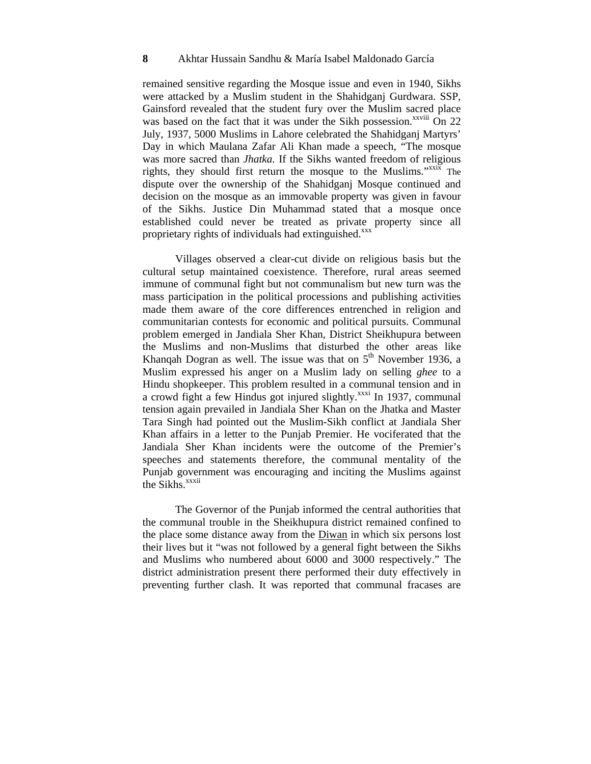remained sensitive regarding the Mosque issue and even in 1940, Sikhs were attacked by a Muslim student in the Shahidganj Gurdwara. SSP, Gainsford revealed that the student fury over the Muslim sacred place was based on the fact that it was under the Sikh possession.<sup>xxviii</sup> On 22 July, 1937, 5000 Muslims in Lahore celebrated the Shahidganj Martyrs' Day in which Maulana Zafar Ali Khan made a speech, "The mosque was more sacred than *Jhatka.* If the Sikhs wanted freedom of religious rights, they should first return the mosque to the Muslims."<sup>xxix</sup> The dispute over the ownership of the Shahidganj Mosque continued and decision on the mosque as an immovable property was given in favour of the Sikhs. Justice Din Muhammad stated that a mosque once established could never be treated as private property since all proprietary rights of individuals had extinguished.<sup>xxx</sup>

Villages observed a clear-cut divide on religious basis but the cultural setup maintained coexistence. Therefore, rural areas seemed immune of communal fight but not communalism but new turn was the mass participation in the political processions and publishing activities made them aware of the core differences entrenched in religion and communitarian contests for economic and political pursuits. Communal problem emerged in Jandiala Sher Khan, District Sheikhupura between the Muslims and non-Muslims that disturbed the other areas like Khanqah Dogran as well. The issue was that on  $5<sup>th</sup>$  November 1936, a Muslim expressed his anger on a Muslim lady on selling *ghee* to a Hindu shopkeeper. This problem resulted in a communal tension and in a crowd fight a few Hindus got injured slightly.<sup>xxxi</sup> In 1937, communal tension again prevailed in Jandiala Sher Khan on the Jhatka and Master Tara Singh had pointed out the Muslim-Sikh conflict at Jandiala Sher Khan affairs in a letter to the Punjab Premier. He vociferated that the Jandiala Sher Khan incidents were the outcome of the Premier's speeches and statements therefore, the communal mentality of the Punjab government was encouraging and inciting the Muslims against the Sikhs.<sup>xxxii</sup>

The Governor of the Punjab informed the central authorities that the communal trouble in the Sheikhupura district remained confined to the place some distance away from the Diwan in which six persons lost their lives but it "was not followed by a general fight between the Sikhs and Muslims who numbered about 6000 and 3000 respectively." The district administration present there performed their duty effectively in preventing further clash. It was reported that communal fracases are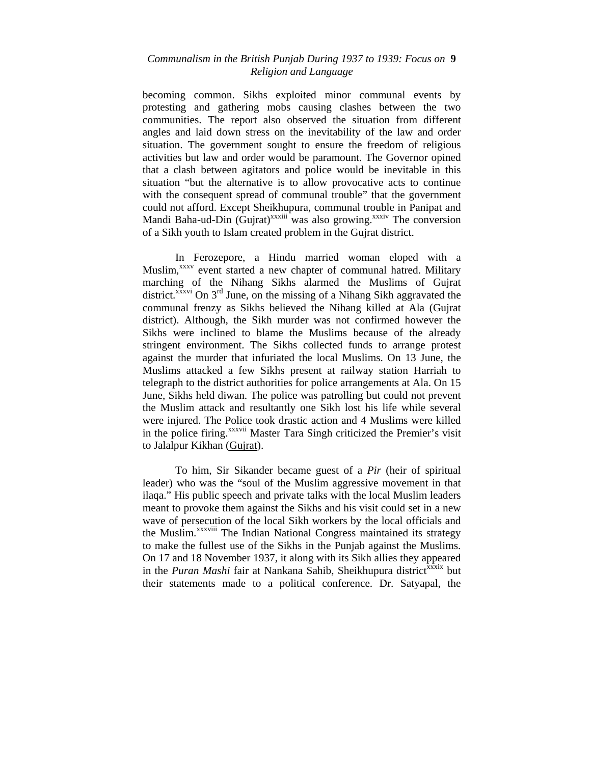# *Communalism in the British Punjab During 1937 to 1939: Focus on* **9**  *Religion and Language*

becoming common. Sikhs exploited minor communal events by protesting and gathering mobs causing clashes between the two communities. The report also observed the situation from different angles and laid down stress on the inevitability of the law and order situation. The government sought to ensure the freedom of religious activities but law and order would be paramount. The Governor opined that a clash between agitators and police would be inevitable in this situation "but the alternative is to allow provocative acts to continue with the consequent spread of communal trouble" that the government could not afford. Except Sheikhupura, communal trouble in Panipat and Mandi Baha-ud-Din (Gujrat)<sup>xxxiii</sup> was also growing.<sup>xxxiv</sup> The conversion of a Sikh youth to Islam created problem in the Gujrat district.

In Ferozepore, a Hindu married woman eloped with a Muslim,<sup>xxxv</sup> event started a new chapter of communal hatred. Military marching of the Nihang Sikhs alarmed the Muslims of Gujrat district.<sup>xxxvi</sup> On  $3<sup>rd</sup>$  June, on the missing of a Nihang Sikh aggravated the communal frenzy as Sikhs believed the Nihang killed at Ala (Gujrat district). Although, the Sikh murder was not confirmed however the Sikhs were inclined to blame the Muslims because of the already stringent environment. The Sikhs collected funds to arrange protest against the murder that infuriated the local Muslims. On 13 June, the Muslims attacked a few Sikhs present at railway station Harriah to telegraph to the district authorities for police arrangements at Ala. On 15 June, Sikhs held diwan. The police was patrolling but could not prevent the Muslim attack and resultantly one Sikh lost his life while several were injured. The Police took drastic action and 4 Muslims were killed in the police firing.<sup>xxxvii</sup> Master Tara Singh criticized the Premier's visit to Jalalpur Kikhan (Gujrat).

To him, Sir Sikander became guest of a *Pir* (heir of spiritual leader) who was the "soul of the Muslim aggressive movement in that ilaqa." His public speech and private talks with the local Muslim leaders meant to provoke them against the Sikhs and his visit could set in a new wave of persecution of the local Sikh workers by the local officials and the Muslim.<sup>xxxviii</sup> The Indian National Congress maintained its strategy to make the fullest use of the Sikhs in the Punjab against the Muslims. On 17 and 18 November 1937, it along with its Sikh allies they appeared in the *Puran Mashi* fair at Nankana Sahib, Sheikhupura district<sup>xxxix</sup> but their statements made to a political conference. Dr. Satyapal, the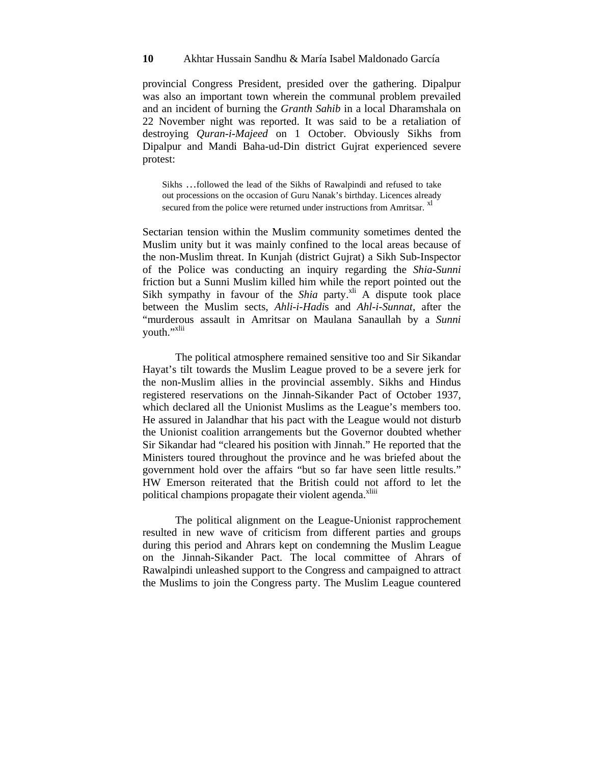provincial Congress President, presided over the gathering. Dipalpur was also an important town wherein the communal problem prevailed and an incident of burning the *Granth Sahib* in a local Dharamshala on 22 November night was reported. It was said to be a retaliation of destroying *Quran-i-Majeed* on 1 October. Obviously Sikhs from Dipalpur and Mandi Baha-ud-Din district Gujrat experienced severe protest:

Sikhs …followed the lead of the Sikhs of Rawalpindi and refused to take out processions on the occasion of Guru Nanak's birthday. Licences already secured from the police were returned under instructions from Amritsar. <sup>xl</sup>

Sectarian tension within the Muslim community sometimes dented the Muslim unity but it was mainly confined to the local areas because of the non-Muslim threat. In Kunjah (district Gujrat) a Sikh Sub-Inspector of the Police was conducting an inquiry regarding the *Shia-Sunni*  friction but a Sunni Muslim killed him while the report pointed out the Sikh sympathy in favour of the *Shia* party.<sup>xli</sup> A dispute took place between the Muslim sects, *Ahli-i-Hadi*s and *Ahl-i-Sunnat*, after the "murderous assault in Amritsar on Maulana Sanaullah by a *Sunni*  youth."<sup>xlii</sup>

The political atmosphere remained sensitive too and Sir Sikandar Hayat's tilt towards the Muslim League proved to be a severe jerk for the non-Muslim allies in the provincial assembly. Sikhs and Hindus registered reservations on the Jinnah-Sikander Pact of October 1937, which declared all the Unionist Muslims as the League's members too. He assured in Jalandhar that his pact with the League would not disturb the Unionist coalition arrangements but the Governor doubted whether Sir Sikandar had "cleared his position with Jinnah." He reported that the Ministers toured throughout the province and he was briefed about the government hold over the affairs "but so far have seen little results." HW Emerson reiterated that the British could not afford to let the political champions propagate their violent agenda.<sup>xliii</sup>

The political alignment on the League-Unionist rapprochement resulted in new wave of criticism from different parties and groups during this period and Ahrars kept on condemning the Muslim League on the Jinnah-Sikander Pact. The local committee of Ahrars of Rawalpindi unleashed support to the Congress and campaigned to attract the Muslims to join the Congress party. The Muslim League countered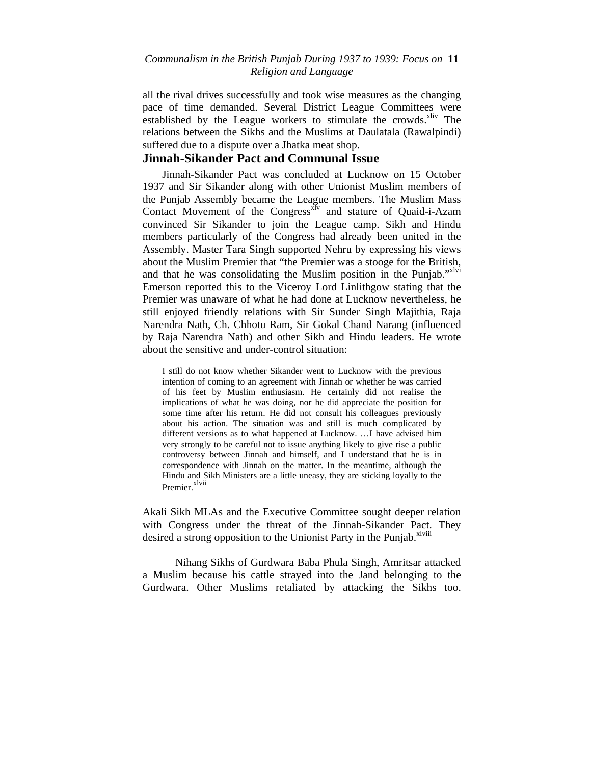# *Communalism in the British Punjab During 1937 to 1939: Focus on* **11**  *Religion and Language*

all the rival drives successfully and took wise measures as the changing pace of time demanded. Several District League Committees were established by the League workers to stimulate the crowds.<sup>xliv</sup> The relations between the Sikhs and the Muslims at Daulatala (Rawalpindi) suffered due to a dispute over a Jhatka meat shop.

# **Jinnah-Sikander Pact and Communal Issue**

Jinnah-Sikander Pact was concluded at Lucknow on 15 October 1937 and Sir Sikander along with other Unionist Muslim members of the Punjab Assembly became the League members. The Muslim Mass Contact Movement of the Congress<sup>xIv</sup> and stature of Quaid-i-Azam convinced Sir Sikander to join the League camp. Sikh and Hindu members particularly of the Congress had already been united in the Assembly. Master Tara Singh supported Nehru by expressing his views about the Muslim Premier that "the Premier was a stooge for the British, and that he was consolidating the Muslim position in the Punjab."<sup>xlvi</sup> Emerson reported this to the Viceroy Lord Linlithgow stating that the Premier was unaware of what he had done at Lucknow nevertheless, he still enjoyed friendly relations with Sir Sunder Singh Majithia, Raja Narendra Nath, Ch. Chhotu Ram, Sir Gokal Chand Narang (influenced by Raja Narendra Nath) and other Sikh and Hindu leaders. He wrote about the sensitive and under-control situation:

I still do not know whether Sikander went to Lucknow with the previous intention of coming to an agreement with Jinnah or whether he was carried of his feet by Muslim enthusiasm. He certainly did not realise the implications of what he was doing, nor he did appreciate the position for some time after his return. He did not consult his colleagues previously about his action. The situation was and still is much complicated by different versions as to what happened at Lucknow. …I have advised him very strongly to be careful not to issue anything likely to give rise a public controversy between Jinnah and himself, and I understand that he is in correspondence with Jinnah on the matter. In the meantime, although the Hindu and Sikh Ministers are a little uneasy, they are sticking loyally to the Premier.<sup>xlvii</sup>

Akali Sikh MLAs and the Executive Committee sought deeper relation with Congress under the threat of the Jinnah-Sikander Pact. They desired a strong opposition to the Unionist Party in the Punjab.<sup>xlviii</sup>

Nihang Sikhs of Gurdwara Baba Phula Singh, Amritsar attacked a Muslim because his cattle strayed into the Jand belonging to the Gurdwara. Other Muslims retaliated by attacking the Sikhs too.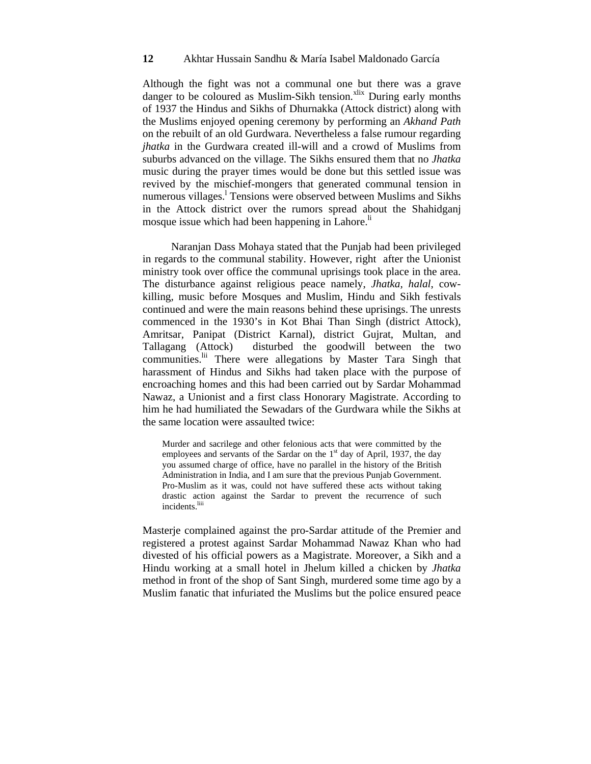Although the fight was not a communal one but there was a grave danger to be coloured as Muslim-Sikh tension.<sup>xlix</sup> During early months of 1937 the Hindus and Sikhs of Dhurnakka (Attock district) along with the Muslims enjoyed opening ceremony by performing an *Akhand Path* on the rebuilt of an old Gurdwara. Nevertheless a false rumour regarding *jhatka* in the Gurdwara created ill-will and a crowd of Muslims from suburbs advanced on the village. The Sikhs ensured them that no *Jhatka*  music during the prayer times would be done but this settled issue was revived by the mischief-mongers that generated communal tension in numerous villages.<sup>1</sup> Tensions were observed between Muslims and Sikhs in the Attock district over the rumors spread about the Shahidganj mosque issue which had been happening in Lahore.<sup>li</sup>

Naranjan Dass Mohaya stated that the Punjab had been privileged in regards to the communal stability. However, right after the Unionist ministry took over office the communal uprisings took place in the area. The disturbance against religious peace namely, *Jhatka, halal*, cowkilling, music before Mosques and Muslim, Hindu and Sikh festivals continued and were the main reasons behind these uprisings. The unrests commenced in the 1930's in Kot Bhai Than Singh (district Attock), Amritsar, Panipat (District Karnal), district Gujrat, Multan, and Tallagang (Attock) disturbed the goodwill between the two communities.<sup>lii</sup> There were allegations by Master Tara Singh that harassment of Hindus and Sikhs had taken place with the purpose of encroaching homes and this had been carried out by Sardar Mohammad Nawaz, a Unionist and a first class Honorary Magistrate. According to him he had humiliated the Sewadars of the Gurdwara while the Sikhs at the same location were assaulted twice:

Murder and sacrilege and other felonious acts that were committed by the employees and servants of the Sardar on the  $1<sup>st</sup>$  day of April, 1937, the day you assumed charge of office, have no parallel in the history of the British Administration in India, and I am sure that the previous Punjab Government. Pro-Muslim as it was, could not have suffered these acts without taking drastic action against the Sardar to prevent the recurrence of such incidents.<sup>lii</sup>

Masterje complained against the pro-Sardar attitude of the Premier and registered a protest against Sardar Mohammad Nawaz Khan who had divested of his official powers as a Magistrate. Moreover, a Sikh and a Hindu working at a small hotel in Jhelum killed a chicken by *Jhatka*  method in front of the shop of Sant Singh, murdered some time ago by a Muslim fanatic that infuriated the Muslims but the police ensured peace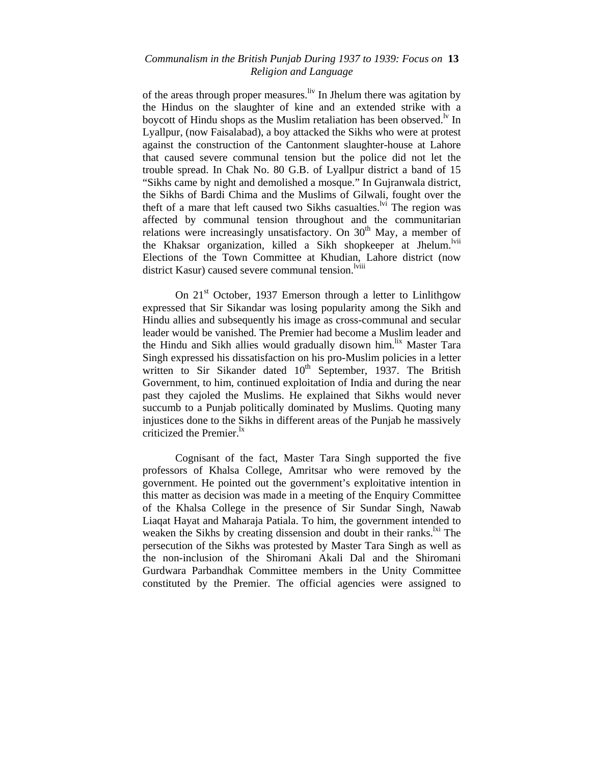# *Communalism in the British Punjab During 1937 to 1939: Focus on* **13**  *Religion and Language*

of the areas through proper measures.<sup>liv</sup> In Jhelum there was agitation by the Hindus on the slaughter of kine and an extended strike with a boycott of Hindu shops as the Muslim retaliation has been observed.<sup> $N$ </sup> In Lyallpur, (now Faisalabad), a boy attacked the Sikhs who were at protest against the construction of the Cantonment slaughter-house at Lahore that caused severe communal tension but the police did not let the trouble spread. In Chak No. 80 G.B. of Lyallpur district a band of 15 "Sikhs came by night and demolished a mosque." In Gujranwala district, the Sikhs of Bardi Chima and the Muslims of Gilwali, fought over the theft of a mare that left caused two Sikhs casualties.<sup>Ivi</sup> The region was affected by communal tension throughout and the communitarian relations were increasingly unsatisfactory. On  $30<sup>th</sup>$  May, a member of the Khaksar organization, killed a Sikh shopkeeper at Jhelum.<sup>lvii</sup> Elections of the Town Committee at Khudian, Lahore district (now district Kasur) caused severe communal tension.<sup>lviii</sup>

On  $21<sup>st</sup>$  October, 1937 Emerson through a letter to Linlithgow expressed that Sir Sikandar was losing popularity among the Sikh and Hindu allies and subsequently his image as cross-communal and secular leader would be vanished. The Premier had become a Muslim leader and the Hindu and Sikh allies would gradually disown him.<sup>lix</sup> Master Tara Singh expressed his dissatisfaction on his pro-Muslim policies in a letter written to Sir Sikander dated  $10<sup>th</sup>$  September, 1937. The British Government, to him, continued exploitation of India and during the near past they cajoled the Muslims. He explained that Sikhs would never succumb to a Punjab politically dominated by Muslims. Quoting many injustices done to the Sikhs in different areas of the Punjab he massively criticized the Premier. $\frac{dx}{dx}$ 

Cognisant of the fact, Master Tara Singh supported the five professors of Khalsa College, Amritsar who were removed by the government. He pointed out the government's exploitative intention in this matter as decision was made in a meeting of the Enquiry Committee of the Khalsa College in the presence of Sir Sundar Singh, Nawab Liaqat Hayat and Maharaja Patiala. To him, the government intended to weaken the Sikhs by creating dissension and doubt in their ranks.<sup>1xi</sup> The persecution of the Sikhs was protested by Master Tara Singh as well as the non-inclusion of the Shiromani Akali Dal and the Shiromani Gurdwara Parbandhak Committee members in the Unity Committee constituted by the Premier. The official agencies were assigned to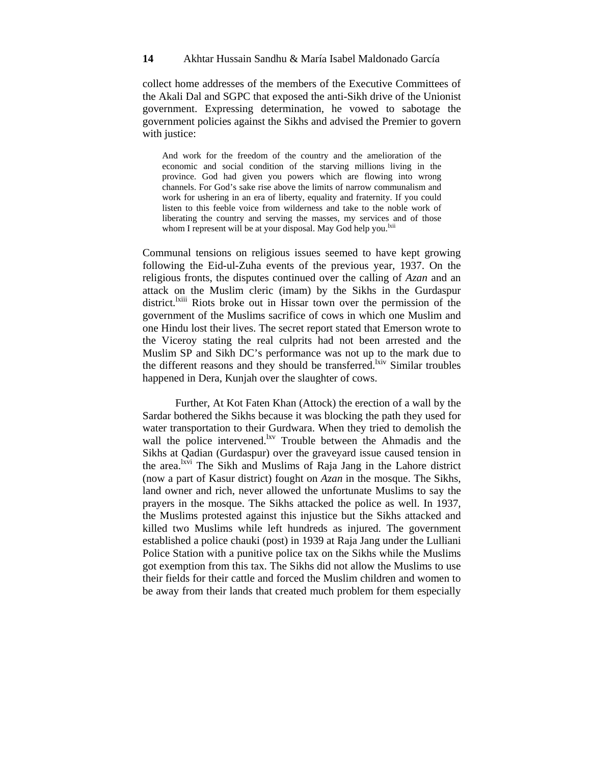collect home addresses of the members of the Executive Committees of the Akali Dal and SGPC that exposed the anti-Sikh drive of the Unionist government. Expressing determination, he vowed to sabotage the government policies against the Sikhs and advised the Premier to govern with justice:

And work for the freedom of the country and the amelioration of the economic and social condition of the starving millions living in the province. God had given you powers which are flowing into wrong channels. For God's sake rise above the limits of narrow communalism and work for ushering in an era of liberty, equality and fraternity. If you could listen to this feeble voice from wilderness and take to the noble work of liberating the country and serving the masses, my services and of those whom I represent will be at your disposal. May God help you.<sup>lxii</sup>

Communal tensions on religious issues seemed to have kept growing following the Eid-ul-Zuha events of the previous year, 1937. On the religious fronts, the disputes continued over the calling of *Azan* and an attack on the Muslim cleric (imam) by the Sikhs in the Gurdaspur district.<sup>lxiii</sup> Riots broke out in Hissar town over the permission of the government of the Muslims sacrifice of cows in which one Muslim and one Hindu lost their lives. The secret report stated that Emerson wrote to the Viceroy stating the real culprits had not been arrested and the Muslim SP and Sikh DC's performance was not up to the mark due to the different reasons and they should be transferred.<sup>1xiv</sup> Similar troubles happened in Dera, Kunjah over the slaughter of cows.

Further, At Kot Faten Khan (Attock) the erection of a wall by the Sardar bothered the Sikhs because it was blocking the path they used for water transportation to their Gurdwara. When they tried to demolish the wall the police intervened.<sup>lxv</sup> Trouble between the Ahmadis and the Sikhs at Qadian (Gurdaspur) over the graveyard issue caused tension in the area.<sup>lxvi</sup> The Sikh and Muslims of Raja Jang in the Lahore district (now a part of Kasur district) fought on *Azan* in the mosque. The Sikhs, land owner and rich, never allowed the unfortunate Muslims to say the prayers in the mosque. The Sikhs attacked the police as well. In 1937, the Muslims protested against this injustice but the Sikhs attacked and killed two Muslims while left hundreds as injured. The government established a police chauki (post) in 1939 at Raja Jang under the Lulliani Police Station with a punitive police tax on the Sikhs while the Muslims got exemption from this tax. The Sikhs did not allow the Muslims to use their fields for their cattle and forced the Muslim children and women to be away from their lands that created much problem for them especially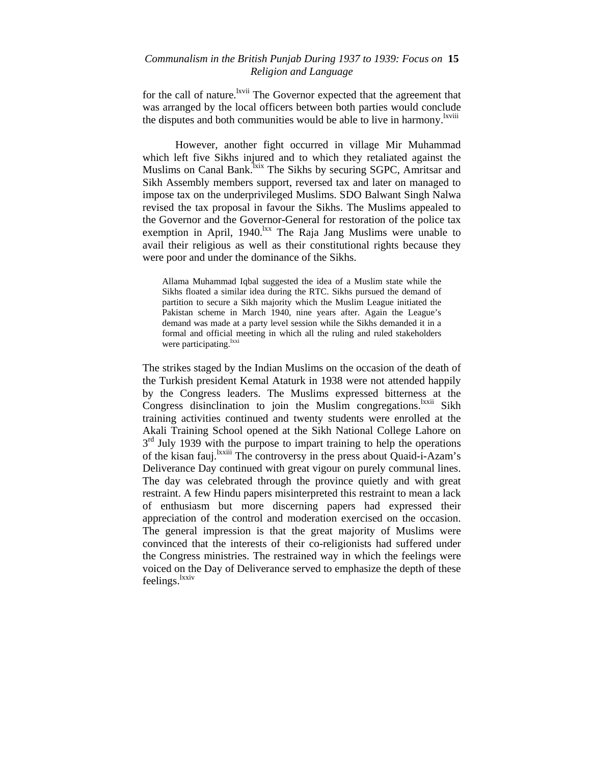# *Communalism in the British Punjab During 1937 to 1939: Focus on* **15**  *Religion and Language*

for the call of nature.<sup>lxvii</sup> The Governor expected that the agreement that was arranged by the local officers between both parties would conclude the disputes and both communities would be able to live in harmony.<sup>lxviii</sup>

However, another fight occurred in village Mir Muhammad which left five Sikhs injured and to which they retaliated against the Muslims on Canal Bank.<sup>Ixix</sup> The Sikhs by securing SGPC, Amritsar and Sikh Assembly members support, reversed tax and later on managed to impose tax on the underprivileged Muslims. SDO Balwant Singh Nalwa revised the tax proposal in favour the Sikhs. The Muslims appealed to the Governor and the Governor-General for restoration of the police tax exemption in April, 1940.<sup>lxx</sup> The Raja Jang Muslims were unable to avail their religious as well as their constitutional rights because they were poor and under the dominance of the Sikhs.

Allama Muhammad Iqbal suggested the idea of a Muslim state while the Sikhs floated a similar idea during the RTC. Sikhs pursued the demand of partition to secure a Sikh majority which the Muslim League initiated the Pakistan scheme in March 1940, nine years after. Again the League's demand was made at a party level session while the Sikhs demanded it in a formal and official meeting in which all the ruling and ruled stakeholders were participating.<sup>lxxi</sup>

The strikes staged by the Indian Muslims on the occasion of the death of the Turkish president Kemal Ataturk in 1938 were not attended happily by the Congress leaders. The Muslims expressed bitterness at the Congress disinclination to join the Muslim congregations.<sup>lxxii</sup> Sikh training activities continued and twenty students were enrolled at the Akali Training School opened at the Sikh National College Lahore on  $3<sup>rd</sup>$  July 1939 with the purpose to impart training to help the operations of the kisan fauj.<sup>lxxiii</sup> The controversy in the press about Quaid-i-Azam's Deliverance Day continued with great vigour on purely communal lines. The day was celebrated through the province quietly and with great restraint. A few Hindu papers misinterpreted this restraint to mean a lack of enthusiasm but more discerning papers had expressed their appreciation of the control and moderation exercised on the occasion. The general impression is that the great majority of Muslims were convinced that the interests of their co-religionists had suffered under the Congress ministries. The restrained way in which the feelings were voiced on the Day of Deliverance served to emphasize the depth of these feelings.<sup>lxxiv</sup>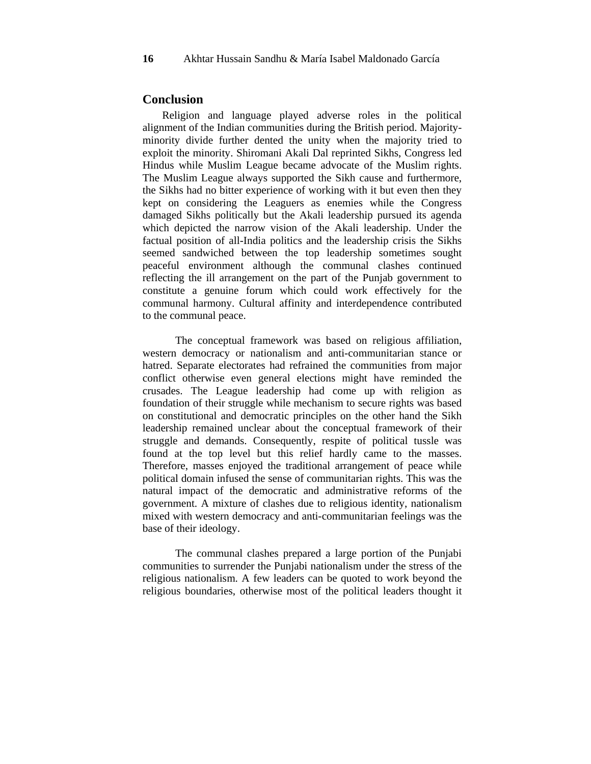#### **Conclusion**

Religion and language played adverse roles in the political alignment of the Indian communities during the British period. Majorityminority divide further dented the unity when the majority tried to exploit the minority. Shiromani Akali Dal reprinted Sikhs, Congress led Hindus while Muslim League became advocate of the Muslim rights. The Muslim League always supported the Sikh cause and furthermore, the Sikhs had no bitter experience of working with it but even then they kept on considering the Leaguers as enemies while the Congress damaged Sikhs politically but the Akali leadership pursued its agenda which depicted the narrow vision of the Akali leadership. Under the factual position of all-India politics and the leadership crisis the Sikhs seemed sandwiched between the top leadership sometimes sought peaceful environment although the communal clashes continued reflecting the ill arrangement on the part of the Punjab government to constitute a genuine forum which could work effectively for the communal harmony. Cultural affinity and interdependence contributed to the communal peace.

The conceptual framework was based on religious affiliation, western democracy or nationalism and anti-communitarian stance or hatred. Separate electorates had refrained the communities from major conflict otherwise even general elections might have reminded the crusades. The League leadership had come up with religion as foundation of their struggle while mechanism to secure rights was based on constitutional and democratic principles on the other hand the Sikh leadership remained unclear about the conceptual framework of their struggle and demands. Consequently, respite of political tussle was found at the top level but this relief hardly came to the masses. Therefore, masses enjoyed the traditional arrangement of peace while political domain infused the sense of communitarian rights. This was the natural impact of the democratic and administrative reforms of the government. A mixture of clashes due to religious identity, nationalism mixed with western democracy and anti-communitarian feelings was the base of their ideology.

The communal clashes prepared a large portion of the Punjabi communities to surrender the Punjabi nationalism under the stress of the religious nationalism. A few leaders can be quoted to work beyond the religious boundaries, otherwise most of the political leaders thought it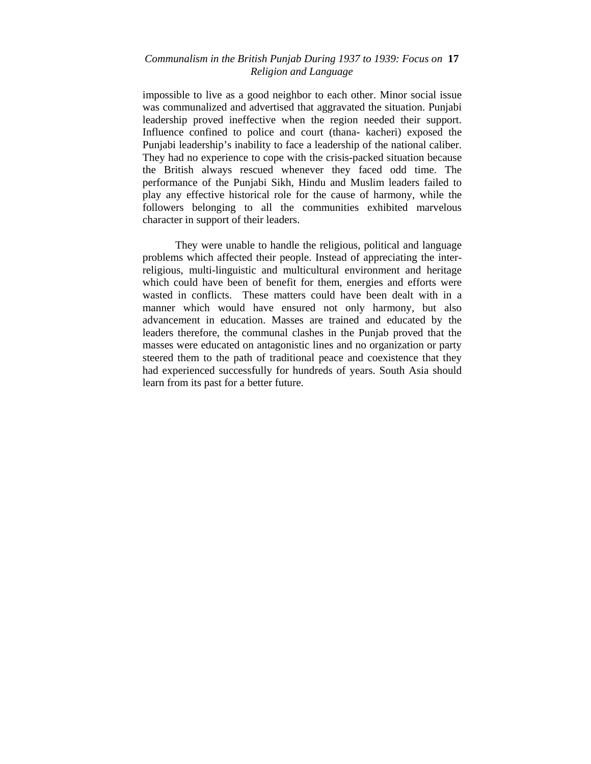# *Communalism in the British Punjab During 1937 to 1939: Focus on* **17**  *Religion and Language*

impossible to live as a good neighbor to each other. Minor social issue was communalized and advertised that aggravated the situation. Punjabi leadership proved ineffective when the region needed their support. Influence confined to police and court (thana- kacheri) exposed the Punjabi leadership's inability to face a leadership of the national caliber. They had no experience to cope with the crisis-packed situation because the British always rescued whenever they faced odd time. The performance of the Punjabi Sikh, Hindu and Muslim leaders failed to play any effective historical role for the cause of harmony, while the followers belonging to all the communities exhibited marvelous character in support of their leaders.

They were unable to handle the religious, political and language problems which affected their people. Instead of appreciating the interreligious, multi-linguistic and multicultural environment and heritage which could have been of benefit for them, energies and efforts were wasted in conflicts. These matters could have been dealt with in a manner which would have ensured not only harmony, but also advancement in education. Masses are trained and educated by the leaders therefore, the communal clashes in the Punjab proved that the masses were educated on antagonistic lines and no organization or party steered them to the path of traditional peace and coexistence that they had experienced successfully for hundreds of years. South Asia should learn from its past for a better future.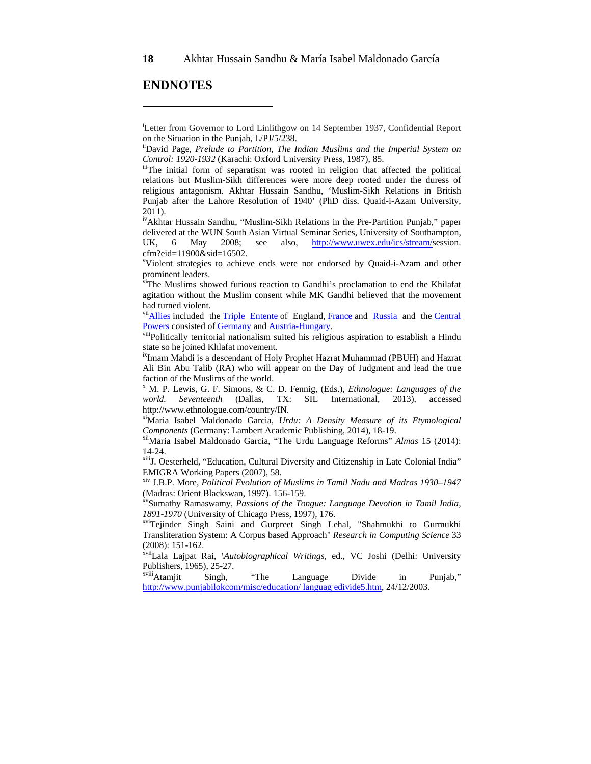# **ENDNOTES**

ivAkhtar Hussain Sandhu, "Muslim-Sikh Relations in the Pre-Partition Punjab," paper delivered at the WUN South Asian Virtual Seminar Series, University of Southampton, UK, 6 May 2008; see also, http://www.uwex.edu/ics/stream/session. cfm?eid=11900&sid=16502.

v Violent strategies to achieve ends were not endorsed by Quaid-i-Azam and other prominent leaders.

viThe Muslims showed furious reaction to Gandhi's proclamation to end the Khilafat agitation without the Muslim consent while MK Gandhi believed that the movement had turned violent.

<sup>vii</sup>Allies included the Triple Entente of England, France and Russia and the Central Powers consisted of Germany and Austria-Hungary.<br>viiiPolitically territorial nationalism suited his religious aspiration to establish a Hindu

state so he joined Khlafat movement.

ixImam Mahdi is a descendant of Holy Prophet Hazrat Muhammad (PBUH) and Hazrat Ali Bin Abu Talib (RA) who will appear on the Day of Judgment and lead the true faction of the Muslims of the world.

x M. P. Lewis, G. F. Simons, & C. D. Fennig, (Eds.), *Ethnologue: Languages of the world. Seventeenth* (Dallas, TX: SIL International, 2013), accessed http://www.ethnologue.com/country/IN.

xiMaria Isabel Maldonado Garcia, *Urdu: A Density Measure of its Etymological Components* (Germany: Lambert Academic Publishing, 2014), 18-19.<br><sup>xii</sup>Maria Isabel Maldonado Garcia, "The Urdu Language Reforms" *Almas* 15 (2014):

14-24.

xiiiJ. Oesterheld, "Education, Cultural Diversity and Citizenship in Late Colonial India" EMIGRA Working Papers (2007), 58.

xiv J.B.P. More, *Political Evolution of Muslims in Tamil Nadu and Madras 1930–1947* (Madras: Orient Blackswan, 1997). 156-159.<br><sup>xv</sup>Sumathy Ramaswamy, *Passions of the Tongue: Language Devotion in Tamil India,* 

*1891-1970* (University of Chicago Press, 1997), 176.<br><sup>xvi</sup>Tejinder Singh Saini and Gurpreet Singh Lehal, "Shahmukhi to Gurmukhi

Transliteration System: A Corpus based Approach" *Research in Computing Science* 33 (2008): 151-162.

xviiLala Lajpat Rai, *\Autobiographical Writings,* ed., VC Joshi (Delhi: University Publishers, 1965), 25-27.

xviiiAtamjit Singh, "The Language Divide in Punjab," http://www.punjabilokcom/misc/education/ languag edivide5.htm, 24/12/2003.

 $\overline{a}$ 

i Letter from Governor to Lord Linlithgow on 14 September 1937, Confidential Report on the Situation in the Punjab, L/PJ/5/238.<br><sup>ii</sup>David Page, *Prelude to Partition, The Indian Muslims and the Imperial System on* 

*Control: 1920-1932* (Karachi: Oxford University Press, 1987), 85. iiiThe initial form of separatism was rooted in religion that affected the political

relations but Muslim-Sikh differences were more deep rooted under the duress of religious antagonism. Akhtar Hussain Sandhu, 'Muslim-Sikh Relations in British Punjab after the Lahore Resolution of 1940' (PhD diss. Quaid-i-Azam University, 2011).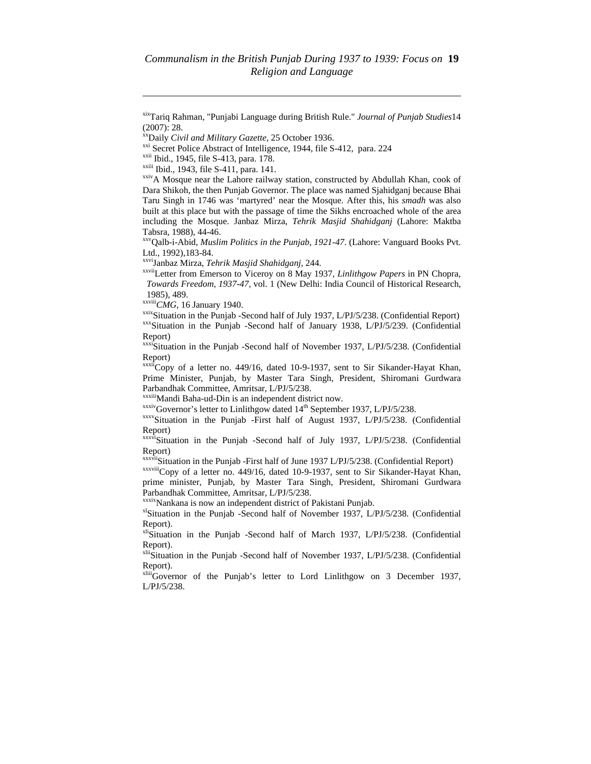$\overline{\phantom{a}}$ 

<sup>xx</sup>Daily *Civil and Military Gazette*, 25 October 1936.<br>
<sup>xxi</sup> Secret Police Abstract of Intelligence, 1944, file S-412, para. 224<br>
<sup>xxii</sup> Ibid., 1945, file S-413, para. 178.<br>
<sup>xxiii</sup> Ibid., 1943, file S-411, para. 141.<br> Dara Shikoh, the then Punjab Governor. The place was named Sjahidganj because Bhai Taru Singh in 1746 was 'martyred' near the Mosque. After this, his *smadh* was also built at this place but with the passage of time the Sikhs encroached whole of the area including the Mosque. Janbaz Mirza, *Tehrik Masjid Shahidganj* (Lahore: Maktba Tabsra, 1988), 44-46.

xxvQalb-i-Abid, *Muslim Politics in the Punjab*, *1921-47*. (Lahore: Vanguard Books Pvt. Ltd., 1992),183-84.

<sup>xxvi</sup>Janbaz Mirza, *Tehrik Masjid Shahidganj*, 244.<br><sup>xxvii</sup>Letter from Emerson to Viceroy on 8 May 1937, *Linlithgow Papers* in PN Chopra, *Towards Freedom, 1937-47*, vol. 1 (New Delhi: India Council of Historical Research, 1985), 489.<br>
xxviii CMG, 16 January 1940.

<sup>xxix</sup>Situation in the Punjab -Second half of July 1937, L/PJ/5/238. (Confidential Report) xxxSituation in the Punjab -Second half of January 1938, L/PJ/5/239. (Confidential Report)

xxxiSituation in the Punjab -Second half of November 1937, L/PJ/5/238. (Confidential Report)

 $xxxii$ Copy of a letter no. 449/16, dated 10-9-1937, sent to Sir Sikander-Hayat Khan, Prime Minister, Punjab, by Master Tara Singh, President, Shiromani Gurdwara Parbandhak Committee, Amritsar, L/PJ/5/238.<br>xxxiiiMandi Baha-ud-Din is an independent district now.

 $\frac{x}{x}x$ ivGovernor's letter to Linlithgow dated 14<sup>th</sup> September 1937, L/PJ/5/238. (Confidential xxxvSituation in the Punjab -First half of August 1937, L/PJ/5/238. (Confidential Report)

 $xxxv$ <sup>i</sup>Situation in the Punjab -Second half of July 1937, L/PJ/5/238. (Confidential Report)<br>xxxvii Situation in the Punjab - First half of June 1937 L/PJ/5/238. (Confidential Report)

xxxviiiCopy of a letter no. 449/16, dated 10-9-1937, sent to Sir Sikander-Hayat Khan, prime minister, Punjab, by Master Tara Singh, President, Shiromani Gurdwara Parbandhak Committee, Amritsar, L/PJ/5/238.<br>xxxixNankana is now an independent district of Pakistani Punjab.

 $x^1$ Situation in the Punjab -Second half of November 1937, L/PJ/5/238. (Confidential Report).

xliSituation in the Punjab -Second half of March 1937, L/PJ/5/238. (Confidential Report).

xliiSituation in the Punjab -Second half of November 1937, L/PJ/5/238. (Confidential Report).

xliiiGovernor of the Punjab's letter to Lord Linlithgow on 3 December 1937, L/PJ/5/238.

xixTariq Rahman, "Punjabi Language during British Rule." *Journal of Punjab Studies*14 (2007): 28.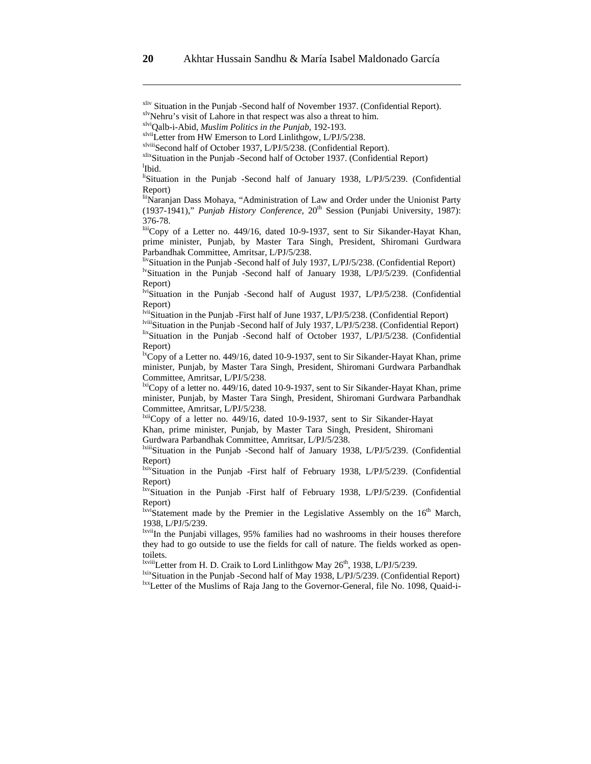livSituation in the Punjab -Second half of July 1937, L/PJ/5/238. (Confidential Report)

<sup>lv</sup>Situation in the Punjab -Second half of January 1938, L/PJ/5/239. (Confidential Report)

<sup>Iviii</sup>Situation in the Punjab -Second half of July 1937, L/PJ/5/238. (Confidential Report)  $\frac{\text{fix}}{\text{dist}}$ Situation in the Punjab -Second half of October 1937, L/PJ/5/238. (Confidential Report)

 $\overline{R}$ Copy of a Letter no. 449/16, dated 10-9-1937, sent to Sir Sikander-Hayat Khan, prime minister, Punjab, by Master Tara Singh, President, Shiromani Gurdwara Parbandhak Committee, Amritsar, L/PJ/5/238.

 $\frac{1 \times i}{\text{Copy of a letter no. } }$  449/16, dated 10-9-1937, sent to Sir Sikander-Hayat Khan, prime minister, Punjab, by Master Tara Singh, President, Shiromani Gurdwara Parbandhak Committee, Amritsar, L/PJ/5/238.

lxiiCopy of a letter no. 449/16, dated 10-9-1937, sent to Sir Sikander-Hayat Khan, prime minister, Punjab, by Master Tara Singh, President, Shiromani Gurdwara Parbandhak Committee, Amritsar, L/PJ/5/238.

lxiiiSituation in the Punjab -Second half of January 1938, L/PJ/5/239. (Confidential Report)

lxivSituation in the Punjab -First half of February 1938, L/PJ/5/239. (Confidential Report)

lxvSituation in the Punjab -First half of February 1938, L/PJ/5/239. (Confidential Report)

 $l_{xvi}$ Statement made by the Premier in the Legislative Assembly on the  $16<sup>th</sup>$  March, 1938, L/PJ/5/239.

lxviiIn the Punjabi villages, 95% families had no washrooms in their houses therefore they had to go outside to use the fields for call of nature. The fields worked as opentoilets.<br><sup>Ixviii</sup>Letter from H. D. Craik to Lord Linlithgow May 26<sup>th</sup>, 1938, L/PJ/5/239.

 $\frac{\text{hix}}{\text{hix}}$ Situation in the Punjab -Second half of May 1938, L/PJ/5/239. (Confidential Report)<br>  $\frac{\text{hix}}{\text{hix}}$ Letter of the Muslims of Raja Jang to the Governor-General, file No. 1098, Quaid-i-

 $\overline{\phantom{a}}$ 

<sup>&</sup>lt;sup>xliv</sup> Situation in the Punjab -Second half of November 1937. (Confidential Report).<br>
<sup>xlv</sup>Nehru's visit of Lahore in that respect was also a threat to him.<br>
<sup>xlvi</sup>Qalb-i-Abid, *Muslim Politics in the Punjab*, 192-193.<br>
<sup>x</sup>

<sup>&</sup>lt;sup>l</sup>Ibid.

liSituation in the Punjab -Second half of January 1938, L/PJ/5/239. (Confidential Report)

liiNaranjan Dass Mohaya, "Administration of Law and Order under the Unionist Party (1937-1941)," *Punjab History Conference*, 20<sup>th</sup> Session (Punjabi University, 1987): 376-78.

liiiCopy of a Letter no. 449/16, dated 10-9-1937, sent to Sir Sikander-Hayat Khan, prime minister, Punjab, by Master Tara Singh, President, Shiromani Gurdwara Parbandhak Committee, Amritsar, L/PJ/5/238.

lviSituation in the Punjab -Second half of August 1937, L/PJ/5/238. (Confidential Report)<br><sup>Ivii</sup>Situation in the Punjab -First half of June 1937, L/PJ/5/238. (Confidential Report)